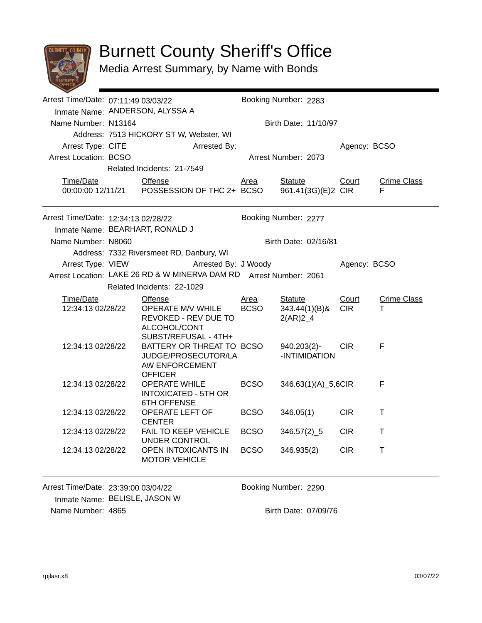

## Burnett County Sheriff's Office

Media Arrest Summary, by Name with Bonds

|                                                                                                | Arrest Time/Date: 07:11:49 03/03/22                                     |                                                                                                     |                            | Booking Number: 2283                             |                     |                         |  |  |
|------------------------------------------------------------------------------------------------|-------------------------------------------------------------------------|-----------------------------------------------------------------------------------------------------|----------------------------|--------------------------------------------------|---------------------|-------------------------|--|--|
|                                                                                                |                                                                         | Inmate Name: ANDERSON, ALYSSA A                                                                     |                            |                                                  |                     |                         |  |  |
| Name Number: N13164                                                                            |                                                                         |                                                                                                     | Birth Date: 11/10/97       |                                                  |                     |                         |  |  |
|                                                                                                |                                                                         | Address: 7513 HICKORY ST W, Webster, WI                                                             |                            |                                                  |                     |                         |  |  |
| Arrest Type: CITE                                                                              |                                                                         | Arrested By:                                                                                        |                            |                                                  | Agency: BCSO        |                         |  |  |
| <b>Arrest Location: BCSO</b>                                                                   |                                                                         |                                                                                                     |                            | Arrest Number: 2073                              |                     |                         |  |  |
|                                                                                                |                                                                         | Related Incidents: 21-7549                                                                          |                            |                                                  |                     |                         |  |  |
| Time/Date                                                                                      | <b>Offense</b><br>00:00:00 12/11/21  POSSESSION OF THC 2+ BCSO          |                                                                                                     | <u>Area</u>                | <b>Statute</b><br>961.41(3G)(E)2 CIR             | Court               | <b>Crime Class</b><br>F |  |  |
| Arrest Time/Date: 12:34:13 02/28/22                                                            |                                                                         |                                                                                                     |                            | Booking Number: 2277                             |                     |                         |  |  |
|                                                                                                |                                                                         | Inmate Name: BEARHART, RONALD J                                                                     |                            |                                                  |                     |                         |  |  |
| Name Number: N8060                                                                             |                                                                         |                                                                                                     |                            | Birth Date: 02/16/81                             |                     |                         |  |  |
|                                                                                                |                                                                         | Address: 7332 Riversmeet RD, Danbury, WI                                                            |                            |                                                  |                     |                         |  |  |
| Arrest Type: VIEW                                                                              |                                                                         | Arrested By: J Woody<br>Arrest Location: LAKE 26 RD & W MINERVA DAM RD Arrest Number: 2061          |                            |                                                  | Agency: BCSO        |                         |  |  |
|                                                                                                |                                                                         | Related Incidents: 22-1029                                                                          |                            |                                                  |                     |                         |  |  |
|                                                                                                |                                                                         |                                                                                                     |                            |                                                  |                     |                         |  |  |
| Time/Date<br>12:34:13 02/28/22                                                                 |                                                                         | <b>Offense</b><br>OPERATE M/V WHILE<br>REVOKED - REV DUE TO<br>ALCOHOL/CONT<br>SUBST/REFUSAL - 4TH+ | <u>Area</u><br><b>BCSO</b> | <b>Statute</b><br>$343.44(1)(B)$ &<br>$2(AR)2_4$ | Court<br><b>CIR</b> | <b>Crime Class</b><br>т |  |  |
| 12:34:13 02/28/22                                                                              |                                                                         | BATTERY OR THREAT TO BCSO<br>JUDGE/PROSECUTOR/LA<br>AW ENFORCEMENT<br><b>OFFICER</b>                |                            | $940.203(2)$ -<br>-INTIMIDATION                  | <b>CIR</b>          | F                       |  |  |
| <b>OPERATE WHILE</b><br>12:34:13 02/28/22<br><b>INTOXICATED - 5TH OR</b><br><b>6TH OFFENSE</b> |                                                                         | <b>BCSO</b>                                                                                         | 346.63(1)(A)_5,6CIR        | F                                                |                     |                         |  |  |
| 12:34:13 02/28/22                                                                              |                                                                         | OPERATE LEFT OF<br><b>CENTER</b>                                                                    | <b>BCSO</b>                | 346.05(1)                                        | <b>CIR</b>          | $\top$                  |  |  |
| 12:34:13 02/28/22                                                                              |                                                                         | FAIL TO KEEP VEHICLE<br>UNDER CONTROL                                                               | <b>BCSO</b>                | $346.57(2)$ _5                                   | <b>CIR</b>          | т                       |  |  |
|                                                                                                | <b>OPEN INTOXICANTS IN</b><br>12:34:13 02/28/22<br><b>MOTOR VEHICLE</b> |                                                                                                     | <b>BCSO</b>                | 346.935(2)                                       | <b>CIR</b>          | Τ                       |  |  |
| Arrest Time/Date: 23:39:00 03/04/22<br>Inmate Name: BELISLE, JASON W                           |                                                                         |                                                                                                     |                            | Booking Number: 2290                             |                     |                         |  |  |

Name Number: 4865 Birth Date: 07/09/76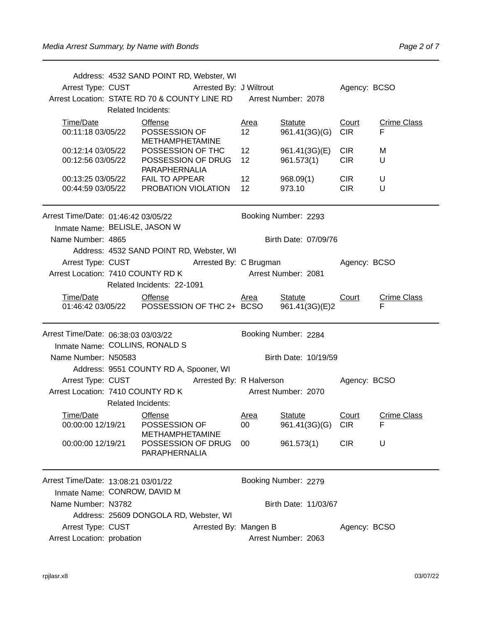|                                                                   |                | Address: 4532 SAND POINT RD, Webster, WI     |                       |                 |                                                                                |                 |                         |
|-------------------------------------------------------------------|----------------|----------------------------------------------|-----------------------|-----------------|--------------------------------------------------------------------------------|-----------------|-------------------------|
|                                                                   |                | Arrest Type: CUST Arrested By: J Wiltrout    |                       |                 |                                                                                | Agency: BCSO    |                         |
| Arrest Location: STATE RD 70 & COUNTY LINE RD Arrest Number: 2078 |                |                                              |                       |                 |                                                                                |                 |                         |
|                                                                   |                | <b>Related Incidents:</b>                    |                       |                 |                                                                                |                 |                         |
| Time/Date                                                         |                | <b>Offense</b>                               |                       | <u>Area</u>     | <b>Statute</b>                                                                 | Court           | <b>Crime Class</b>      |
| 00:11:18 03/05/22                                                 |                | POSSESSION OF<br><b>METHAMPHETAMINE</b>      |                       | 12 <sup>2</sup> | 961.41(3G)(G)                                                                  | <b>CIR</b>      | F                       |
| 00:12:14 03/05/22                                                 |                |                                              | POSSESSION OF THC     | 12 <sup>2</sup> | 961.41(3G)(E)                                                                  | <b>CIR</b>      | м                       |
| 00:12:56 03/05/22                                                 |                | PARAPHERNALIA                                | POSSESSION OF DRUG    | 12 <sup>2</sup> | 961.573(1)                                                                     | <b>CIR</b>      | U                       |
|                                                                   |                | 00:13:25 03/05/22    FAIL TO APPEAR          |                       | 12              | 968.09(1)                                                                      | CIR <sub></sub> | U                       |
|                                                                   |                | 00:44:59 03/05/22 PROBATION VIOLATION        |                       | 12 <sup>2</sup> | 973.10                                                                         | <b>CIR</b>      | U                       |
|                                                                   |                |                                              |                       |                 |                                                                                |                 |                         |
| Arrest Time/Date: 01:46:42 03/05/22                               |                |                                              |                       |                 | Booking Number: 2293                                                           |                 |                         |
| Inmate Name: BELISLE, JASON W                                     |                |                                              |                       |                 |                                                                                |                 |                         |
| Name Number: 4865                                                 |                |                                              |                       |                 | Birth Date: 07/09/76                                                           |                 |                         |
|                                                                   |                | Address: 4532 SAND POINT RD, Webster, WI     |                       |                 |                                                                                |                 |                         |
| Arrest Type: CUST<br>Arrest Location: 7410 COUNTY RD K            |                | Arrested By: C Brugman                       |                       |                 | <b>Arrest Number: 2081</b>                                                     | Agency: BCSO    |                         |
|                                                                   |                | Related Incidents: 22-1091                   |                       |                 |                                                                                |                 |                         |
|                                                                   |                |                                              |                       |                 |                                                                                |                 |                         |
| Time/Date                                                         | <b>Offense</b> |                                              |                       | Area            | <b>Statute</b><br>01:46:42 03/05/22  POSSESSION OF THC 2+ BCSO  961.41(3G)(E)2 | Court           | <b>Crime Class</b><br>F |
|                                                                   |                |                                              |                       |                 |                                                                                |                 |                         |
| Arrest Time/Date: 06:38:03 03/03/22                               |                |                                              |                       |                 | Booking Number: 2284                                                           |                 |                         |
| Inmate Name: COLLINS, RONALD S                                    |                |                                              |                       |                 |                                                                                |                 |                         |
| Name Number: N50583                                               |                |                                              |                       |                 | Birth Date: 10/19/59                                                           |                 |                         |
|                                                                   |                | Address: 9551 COUNTY RD A, Spooner, WI       |                       |                 |                                                                                |                 |                         |
|                                                                   |                |                                              |                       |                 | Arrest Type: CUST Arrested By: R Halverson                                     | Agency: BCSO    |                         |
| Arrest Location: 7410 COUNTY RD K                                 |                |                                              |                       |                 | Arrest Number: 2070                                                            |                 |                         |
|                                                                   |                | <b>Related Incidents:</b>                    |                       |                 |                                                                                |                 |                         |
| Time/Date                                                         |                | <b>Offense</b>                               |                       | Area            | <b>Statute</b>                                                                 | Court           | <b>Crime Class</b>      |
| 00:00:00 12/19/21                                                 |                | POSSESSION OF                                |                       | 00              | 961.41(3G)(G) CIR                                                              |                 | ۳                       |
| 00:00:00 12/19/21                                                 |                | <b>METHAMPHETAMINE</b><br>POSSESSION OF DRUG |                       | 00              | 961.573(1)                                                                     | <b>CIR</b>      | U                       |
|                                                                   |                | PARAPHERNALIA                                |                       |                 |                                                                                |                 |                         |
| Arrest Time/Date: 13:08:21 03/01/22                               |                |                                              |                       |                 | Booking Number: 2279                                                           |                 |                         |
|                                                                   |                |                                              |                       |                 |                                                                                |                 |                         |
|                                                                   |                |                                              |                       |                 |                                                                                |                 |                         |
| Name Number: N3782                                                |                | Inmate Name: CONROW, DAVID M                 |                       |                 |                                                                                |                 |                         |
|                                                                   |                | Address: 25609 DONGOLA RD, Webster, WI       |                       |                 | Birth Date: 11/03/67                                                           |                 |                         |
| Arrest Type: CUST                                                 |                |                                              | Arrested By: Mangen B |                 |                                                                                | Agency: BCSO    |                         |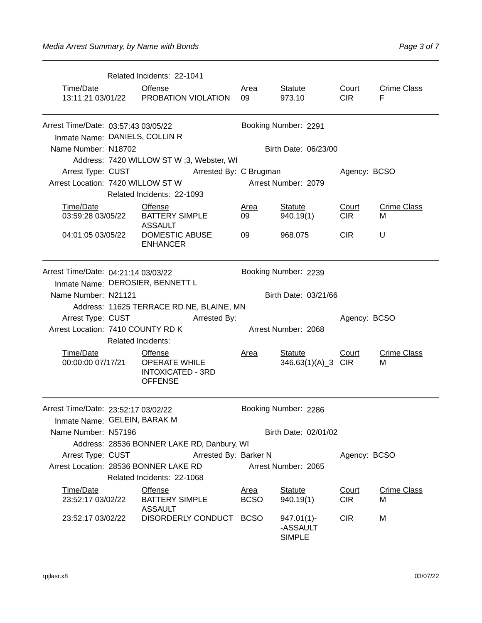|                                                               |                    | Related Incidents: 22-1041                |              |             |                      |              |                    |  |
|---------------------------------------------------------------|--------------------|-------------------------------------------|--------------|-------------|----------------------|--------------|--------------------|--|
| Time/Date                                                     |                    | <b>Offense</b>                            |              | <b>Area</b> | <b>Statute</b>       | <b>Court</b> | <b>Crime Class</b> |  |
|                                                               |                    | 13:11:21 03/01/22 PROBATION VIOLATION     |              | 09          | 973.10               | CIR.         | F                  |  |
|                                                               |                    |                                           |              |             |                      |              |                    |  |
| Arrest Time/Date: 03:57:43 03/05/22                           |                    |                                           |              |             | Booking Number: 2291 |              |                    |  |
| Inmate Name: DANIELS, COLLIN R                                |                    |                                           |              |             |                      |              |                    |  |
| Name Number: N18702                                           |                    |                                           |              |             | Birth Date: 06/23/00 |              |                    |  |
|                                                               |                    | Address: 7420 WILLOW ST W; 3, Webster, WI |              |             |                      |              |                    |  |
|                                                               |                    | Arrest Type: CUST Arrested By: C Brugman  |              |             |                      | Agency: BCSO |                    |  |
| Arrest Location: 7420 WILLOW ST W                             |                    |                                           |              |             | Arrest Number: 2079  |              |                    |  |
|                                                               |                    | Related Incidents: 22-1093                |              |             |                      |              |                    |  |
| Time/Date                                                     |                    | <b>Offense</b>                            |              | Area        | <b>Statute</b>       | Court        | <b>Crime Class</b> |  |
| 03:59:28 03/05/22                                             |                    | <b>BATTERY SIMPLE</b><br><b>ASSAULT</b>   |              | 09          | 940.19(1)            | <b>CIR</b>   | м                  |  |
| <b>DOMESTIC ABUSE</b><br>04:01:05 03/05/22<br><b>ENHANCER</b> |                    |                                           | 09           | 968.075     | <b>CIR</b>           | U            |                    |  |
| Arrest Time/Date: 04:21:14 03/03/22                           |                    |                                           |              |             | Booking Number: 2239 |              |                    |  |
|                                                               |                    | Inmate Name: DEROSIER, BENNETT L          |              |             |                      |              |                    |  |
| Name Number: N21121                                           |                    |                                           |              |             | Birth Date: 03/21/66 |              |                    |  |
|                                                               |                    | Address: 11625 TERRACE RD NE, BLAINE, MN  |              |             |                      |              |                    |  |
| Arrest Type: CUST                                             |                    |                                           | Arrested By: |             |                      | Agency: BCSO |                    |  |
| Arrest Location: 7410 COUNTY RD K                             |                    |                                           |              |             | Arrest Number: 2068  |              |                    |  |
|                                                               | Related Incidents: |                                           |              |             |                      |              |                    |  |

SIMPLE

| Arrest Location: 7410 COUNTY RD K                                   |                                                                                          |                                                                                      |  |                            | Arrest Number: 2068           |                     |                         |
|---------------------------------------------------------------------|------------------------------------------------------------------------------------------|--------------------------------------------------------------------------------------|--|----------------------------|-------------------------------|---------------------|-------------------------|
|                                                                     | <b>Related Incidents:</b>                                                                |                                                                                      |  |                            |                               |                     |                         |
| Time/Date<br>00:00:00 07/17/21                                      |                                                                                          | <b>Offense</b><br><b>OPERATE WHILE</b><br><b>INTOXICATED - 3RD</b><br><b>OFFENSE</b> |  | Area                       | Statute<br>346.63(1)(A)_3 CIR | Court               | <b>Crime Class</b><br>М |
| Arrest Time/Date: 23:52:17 03/02/22<br>Inmate Name: GELEIN, BARAK M |                                                                                          |                                                                                      |  |                            | Booking Number: 2286          |                     |                         |
|                                                                     | Name Number: N57196<br>Birth Date: 02/01/02                                              |                                                                                      |  |                            |                               |                     |                         |
|                                                                     |                                                                                          |                                                                                      |  |                            |                               |                     |                         |
|                                                                     | Address: 28536 BONNER LAKE RD, Danbury, WI<br>Arrest Type: CUST<br>Arrested By: Barker N |                                                                                      |  |                            |                               | Agency: BCSO        |                         |
| Arrest Location: 28536 BONNER LAKE RD                               |                                                                                          |                                                                                      |  | Arrest Number: 2065        |                               |                     |                         |
|                                                                     |                                                                                          | Related Incidents: 22-1068                                                           |  |                            |                               |                     |                         |
| Time/Date<br>23:52:17 03/02/22                                      |                                                                                          | <b>Offense</b><br><b>BATTERY SIMPLE</b><br><b>ASSAULT</b>                            |  | <u>Area</u><br><b>BCSO</b> | <b>Statute</b><br>940.19(1)   | Court<br><b>CIR</b> | <b>Crime Class</b><br>м |
| 23:52:17 03/02/22                                                   |                                                                                          | <b>DISORDERLY CONDUCT</b>                                                            |  | <b>BCSO</b>                | $947.01(1)$ -<br>-ASSAULT     | CIR.                | м                       |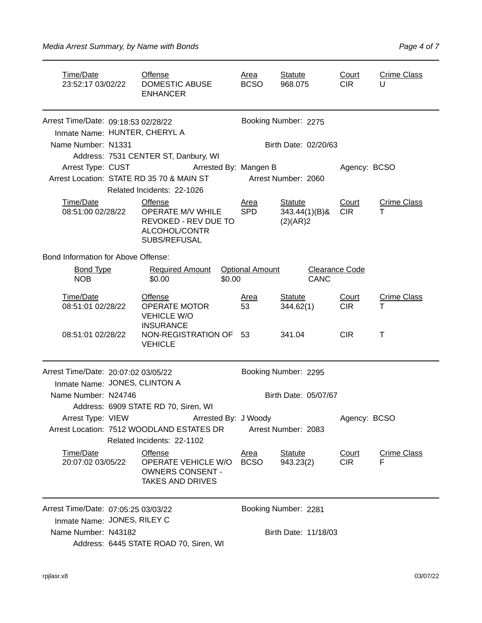| Time/Date<br>23:52:17 03/02/22                                                                                                | <b>Offense</b><br><b>DOMESTIC ABUSE</b><br><b>ENHANCER</b>                            |                            | <u>Area</u><br><b>BCSO</b>  | <b>Statute</b><br>968.075                      | Court<br><b>CIR</b>     | <b>Crime Class</b><br>U |
|-------------------------------------------------------------------------------------------------------------------------------|---------------------------------------------------------------------------------------|----------------------------|-----------------------------|------------------------------------------------|-------------------------|-------------------------|
| Arrest Time/Date: 09:18:53 02/28/22                                                                                           | Inmate Name: HUNTER, CHERYL A                                                         |                            |                             | Booking Number: 2275                           |                         |                         |
| Name Number: N1331                                                                                                            |                                                                                       |                            |                             | Birth Date: 02/20/63                           |                         |                         |
|                                                                                                                               | Address: 7531 CENTER ST, Danbury, WI                                                  |                            |                             |                                                |                         |                         |
|                                                                                                                               | Arrest Type: CUST Arrested By: Mangen B                                               |                            |                             |                                                | Agency: BCSO            |                         |
|                                                                                                                               | Arrest Location: STATE RD 35 70 & MAIN ST                                             |                            |                             | Arrest Number: 2060                            |                         |                         |
|                                                                                                                               | Related Incidents: 22-1026                                                            |                            |                             |                                                |                         |                         |
| Time/Date<br>08:51:00 02/28/22                                                                                                | Offense<br>OPERATE M/V WHILE<br>REVOKED - REV DUE TO<br>ALCOHOL/CONTR<br>SUBS/REFUSAL |                            | Area<br><b>SPD</b>          | <b>Statute</b><br>$343.44(1)(B)$ &<br>(2)(AR)2 | Court<br><b>CIR</b>     | <b>Crime Class</b><br>т |
| Bond Information for Above Offense:                                                                                           |                                                                                       |                            |                             |                                                |                         |                         |
| <b>Bond Type</b><br><b>NOB</b>                                                                                                | Required Amount  Optional Amount<br>\$0.00                                            | \$0.00                     |                             | <b>CANC</b>                                    | <b>Clearance Code</b>   |                         |
| Time/Date<br>08:51:01 02/28/22                                                                                                | <b>Offense</b><br><b>OPERATE MOTOR</b><br><b>VEHICLE W/O</b>                          |                            | <u>Area</u><br>53           | <b>Statute</b><br>344.62(1)                    | Court<br><b>CIR</b>     | <b>Crime Class</b><br>т |
| 08:51:01 02/28/22                                                                                                             | <b>INSURANCE</b><br>NON-REGISTRATION OF 53<br><b>VEHICLE</b>                          |                            |                             | 341.04                                         | <b>CIR</b>              | $\top$                  |
| Arrest Time/Date: 20:07:02 03/05/22                                                                                           | Inmate Name: JONES, CLINTON A                                                         |                            |                             | Booking Number: 2295                           |                         |                         |
| Name Number: N24746                                                                                                           |                                                                                       |                            |                             | Birth Date: 05/07/67                           |                         |                         |
|                                                                                                                               | Address: 6909 STATE RD 70, Siren, WI<br>Arrest Type: VIEW Arrested By: J Woody        |                            |                             |                                                |                         |                         |
| Arrest Location: 7512 WOODLAND ESTATES DR<br>Related Incidents: 22-1102                                                       | Agency: BCSO<br>Arrest Number: 2083                                                   |                            |                             |                                                |                         |                         |
| Time/Date<br><b>Offense</b><br>OPERATE VEHICLE W/O<br>20:07:02 03/05/22<br><b>OWNERS CONSENT -</b><br><b>TAKES AND DRIVES</b> |                                                                                       | <u>Area</u><br><b>BCSO</b> | <b>Statute</b><br>943.23(2) | Court<br><b>CIR</b>                            | <b>Crime Class</b><br>F |                         |
| Arrest Time/Date: 07:05:25 03/03/22<br>Inmate Name: JONES, RILEY C                                                            |                                                                                       |                            |                             | Booking Number: 2281                           |                         |                         |
| Name Number: N43182                                                                                                           | Address: 6445 STATE ROAD 70, Siren, WI                                                |                            | Birth Date: 11/18/03        |                                                |                         |                         |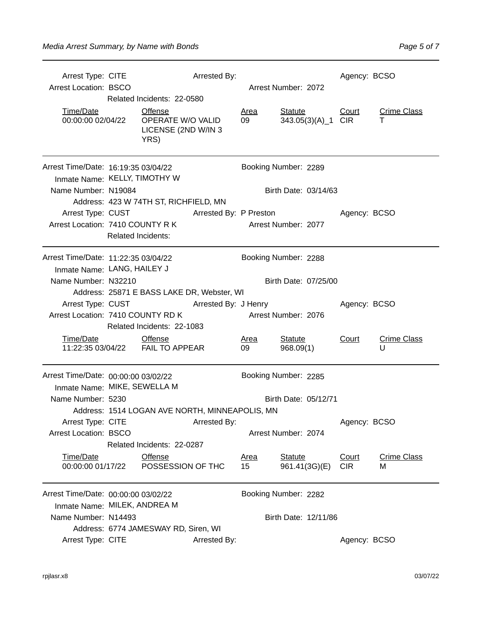| Arrest Type: CITE                   |                                                             |                                                                    | Arrested By:                                   |                     |                             |                    | Agency: BCSO               |                         |  |
|-------------------------------------|-------------------------------------------------------------|--------------------------------------------------------------------|------------------------------------------------|---------------------|-----------------------------|--------------------|----------------------------|-------------------------|--|
| <b>Arrest Location: BSCO</b>        |                                                             |                                                                    |                                                | Arrest Number: 2072 |                             |                    |                            |                         |  |
|                                     |                                                             | Related Incidents: 22-0580                                         |                                                |                     |                             |                    |                            |                         |  |
| Time/Date<br>00:00:00 02/04/22      |                                                             | <b>Offense</b><br>OPERATE W/O VALID<br>LICENSE (2ND W/IN 3<br>YRS) |                                                | <u>Area</u><br>09   | <b>Statute</b>              | 343.05(3)(A)_1 CIR | <b>Court</b>               | <b>Crime Class</b><br>т |  |
|                                     | Arrest Time/Date: 16:19:35 03/04/22<br>Booking Number: 2289 |                                                                    |                                                |                     |                             |                    |                            |                         |  |
| Inmate Name: KELLY, TIMOTHY W       |                                                             |                                                                    |                                                |                     |                             |                    |                            |                         |  |
| Name Number: N19084                 |                                                             |                                                                    |                                                |                     | Birth Date: 03/14/63        |                    |                            |                         |  |
|                                     |                                                             | Address: 423 W 74TH ST, RICHFIELD, MN                              |                                                |                     |                             |                    |                            |                         |  |
| Arrest Type: CUST                   |                                                             |                                                                    | Arrested By: P Preston                         |                     |                             |                    | Agency: BCSO               |                         |  |
| Arrest Location: 7410 COUNTY R K    |                                                             |                                                                    |                                                |                     | Arrest Number: 2077         |                    |                            |                         |  |
|                                     | <b>Related Incidents:</b>                                   |                                                                    |                                                |                     |                             |                    |                            |                         |  |
| Arrest Time/Date: 11:22:35 03/04/22 |                                                             |                                                                    |                                                |                     | Booking Number: 2288        |                    |                            |                         |  |
| Inmate Name: LANG, HAILEY J         |                                                             |                                                                    |                                                |                     |                             |                    |                            |                         |  |
| Name Number: N32210                 |                                                             |                                                                    |                                                |                     | Birth Date: 07/25/00        |                    |                            |                         |  |
|                                     | Address: 25871 E BASS LAKE DR, Webster, WI                  |                                                                    |                                                |                     |                             |                    |                            |                         |  |
| Arrest Type: CUST                   |                                                             |                                                                    | Arrested By: J Henry                           |                     |                             |                    | Agency: BCSO               |                         |  |
| Arrest Location: 7410 COUNTY RD K   |                                                             |                                                                    |                                                |                     | Arrest Number: 2076         |                    |                            |                         |  |
|                                     |                                                             | Related Incidents: 22-1083                                         |                                                |                     |                             |                    |                            |                         |  |
| Time/Date                           |                                                             | <b>Offense</b><br>11:22:35 03/04/22    FAIL TO APPEAR              |                                                | <u>Area</u><br>09   | <b>Statute</b><br>968.09(1) |                    | Court                      | <b>Crime Class</b><br>U |  |
| Arrest Time/Date: 00:00:00 03/02/22 |                                                             |                                                                    |                                                |                     | Booking Number: 2285        |                    |                            |                         |  |
| Inmate Name: MIKE, SEWELLA M        |                                                             |                                                                    |                                                |                     |                             |                    |                            |                         |  |
| Name Number: 5230                   |                                                             |                                                                    |                                                |                     | Birth Date: 05/12/71        |                    |                            |                         |  |
|                                     |                                                             |                                                                    | Address: 1514 LOGAN AVE NORTH, MINNEAPOLIS, MN |                     |                             |                    |                            |                         |  |
| Arrest Type: CITE                   |                                                             |                                                                    | Arrested By:                                   |                     |                             |                    | Agency: BCSO               |                         |  |
| <b>Arrest Location: BSCO</b>        |                                                             |                                                                    |                                                |                     | Arrest Number: 2074         |                    |                            |                         |  |
|                                     |                                                             | Related Incidents: 22-0287                                         |                                                |                     |                             |                    |                            |                         |  |
| Time/Date<br>00:00:00 01/17/22      |                                                             | <b>Offense</b><br>POSSESSION OF THC                                |                                                | <b>Area</b><br>15   | <b>Statute</b>              | 961.41(3G)(E)      | <b>Court</b><br><b>CIR</b> | <b>Crime Class</b><br>М |  |
| Arrest Time/Date: 00:00:00 03/02/22 |                                                             |                                                                    |                                                |                     | Booking Number: 2282        |                    |                            |                         |  |
| Inmate Name: MILEK, ANDREA M        |                                                             |                                                                    |                                                |                     |                             |                    |                            |                         |  |
| Name Number: N14493                 |                                                             |                                                                    |                                                |                     | Birth Date: 12/11/86        |                    |                            |                         |  |
|                                     |                                                             | Address: 6774 JAMESWAY RD, Siren, WI                               |                                                |                     |                             |                    |                            |                         |  |
| Arrest Type: CITE                   |                                                             |                                                                    | Arrested By:                                   |                     |                             |                    | Agency: BCSO               |                         |  |
|                                     |                                                             |                                                                    |                                                |                     |                             |                    |                            |                         |  |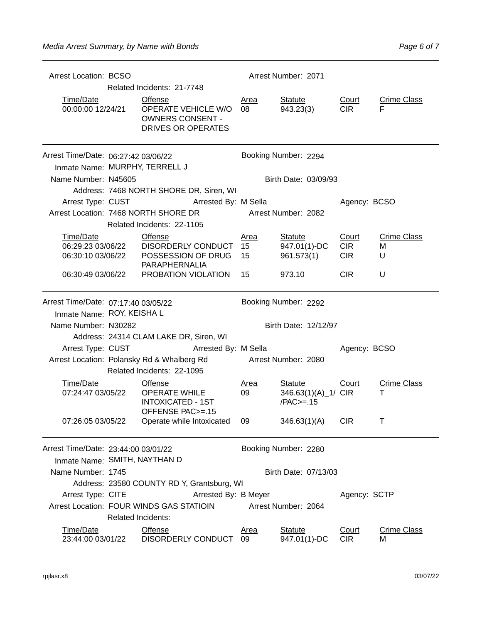| <b>Arrest Location: BCSO</b>                                                              | Arrest Number: 2071<br>Related Incidents: 21-7748                                     |                                                                                               |                   |                                                      |                                          |                              |  |  |
|-------------------------------------------------------------------------------------------|---------------------------------------------------------------------------------------|-----------------------------------------------------------------------------------------------|-------------------|------------------------------------------------------|------------------------------------------|------------------------------|--|--|
| Time/Date<br>00:00:00 12/24/21                                                            |                                                                                       | <b>Offense</b><br><b>OPERATE VEHICLE W/O</b><br><b>OWNERS CONSENT -</b><br>DRIVES OR OPERATES | <u>Area</u><br>08 | <b>Statute</b><br>943.23(3)                          | Court<br><b>CIR</b>                      | <b>Crime Class</b><br>F      |  |  |
| Arrest Time/Date: 06:27:42 03/06/22<br>Inmate Name: MURPHY, TERRELL J                     |                                                                                       |                                                                                               |                   | Booking Number: 2294                                 |                                          |                              |  |  |
| Name Number: N45605                                                                       |                                                                                       | Address: 7468 NORTH SHORE DR, Siren, WI                                                       |                   | Birth Date: 03/09/93                                 |                                          |                              |  |  |
|                                                                                           |                                                                                       | Arrest Type: CUST Arrested By: M Sella                                                        |                   |                                                      | Agency: BCSO                             |                              |  |  |
|                                                                                           |                                                                                       | Arrest Location: 7468 NORTH SHORE DR<br>Related Incidents: 22-1105                            |                   | Arrest Number: 2082                                  |                                          |                              |  |  |
| Time/Date<br><u>Time/Date</u><br>06:29:23 03/06/22<br>06:30:10 03/06/22                   |                                                                                       | <b>Offense</b><br>DISORDERLY CONDUCT 15<br>POSSESSION OF DRUG 15<br>PARAPHERNALIA             | <u>Area</u>       | <b>Statute</b><br>947.01(1)-DC<br>961.573(1)         | <u>Court</u><br><b>CIR</b><br><b>CIR</b> | <b>Crime Class</b><br>М<br>U |  |  |
| 06:30:49 03/06/22                                                                         |                                                                                       | PROBATION VIOLATION                                                                           | 15                | 973.10                                               | <b>CIR</b>                               | U                            |  |  |
| Arrest Time/Date: 07:17:40 03/05/22<br>Booking Number: 2292<br>Inmate Name: ROY, KEISHA L |                                                                                       |                                                                                               |                   |                                                      |                                          |                              |  |  |
|                                                                                           | Birth Date: 12/12/97<br>Name Number: N30282<br>Address: 24314 CLAM LAKE DR, Siren, WI |                                                                                               |                   |                                                      |                                          |                              |  |  |
|                                                                                           |                                                                                       | Arrest Type: CUST Arrested By: M Sella                                                        |                   |                                                      | Agency: BCSO                             |                              |  |  |
|                                                                                           |                                                                                       | Arrest Location: Polansky Rd & Whalberg Rd Arrest Number: 2080<br>Related Incidents: 22-1095  |                   |                                                      |                                          |                              |  |  |
| Time/Date<br>07:24:47 03/05/22                                                            |                                                                                       | <b>Offense</b><br><b>OPERATE WHILE</b><br><b>INTOXICATED - 1ST</b><br>OFFENSE PAC>=.15        | <b>Area</b><br>09 | <b>Statute</b><br>346.63(1)(A)_1/ CIR<br>$/PAC>=.15$ | Court                                    | <b>Crime Class</b><br>т      |  |  |
|                                                                                           |                                                                                       | 07:26:05 03/05/22  Operate while Intoxicated  09                                              |                   | 346.63(1)(A) CIR                                     |                                          |                              |  |  |
| Arrest Time/Date: 23:44:00 03/01/22<br>Inmate Name: SMITH, NAYTHAN D                      |                                                                                       |                                                                                               |                   | Booking Number: 2280                                 |                                          |                              |  |  |
| Name Number: 1745                                                                         |                                                                                       |                                                                                               |                   | Birth Date: 07/13/03                                 |                                          |                              |  |  |
|                                                                                           |                                                                                       | Address: 23580 COUNTY RD Y, Grantsburg, WI                                                    |                   |                                                      |                                          |                              |  |  |
| Arrest Type: CITE                                                                         |                                                                                       | Arrested By: B Meyer                                                                          |                   |                                                      | Agency: SCTP                             |                              |  |  |
|                                                                                           | <b>Related Incidents:</b>                                                             | Arrest Location: FOUR WINDS GAS STATIOIN                                                      |                   | Arrest Number: 2064                                  |                                          |                              |  |  |
| Time/Date<br>23:44:00 03/01/22                                                            |                                                                                       | <b>Offense</b><br>DISORDERLY CONDUCT                                                          | <b>Area</b><br>09 | <b>Statute</b><br>947.01(1)-DC                       | Court<br><b>CIR</b>                      | <b>Crime Class</b><br>м      |  |  |